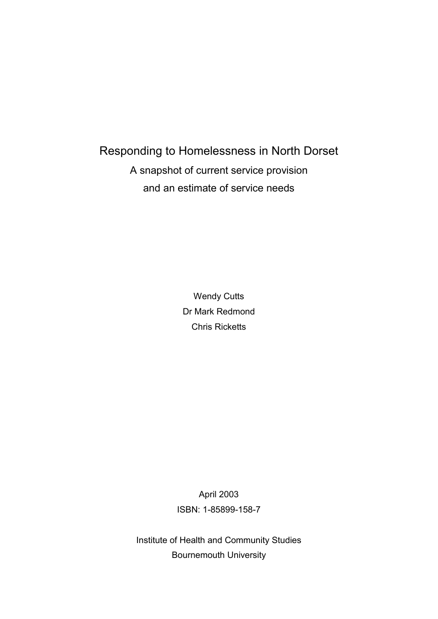## Responding to Homelessness in North Dorset A snapshot of current service provision and an estimate of service needs

Wendy Cutts Dr Mark Redmond Chris Ricketts

April 2003 ISBN: 1-85899-158-7

Institute of Health and Community Studies Bournemouth University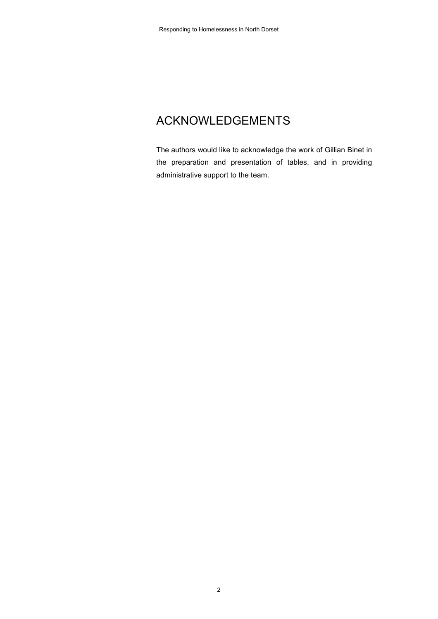## ACKNOWLEDGEMENTS

The authors would like to acknowledge the work of Gillian Binet in the preparation and presentation of tables, and in providing administrative support to the team.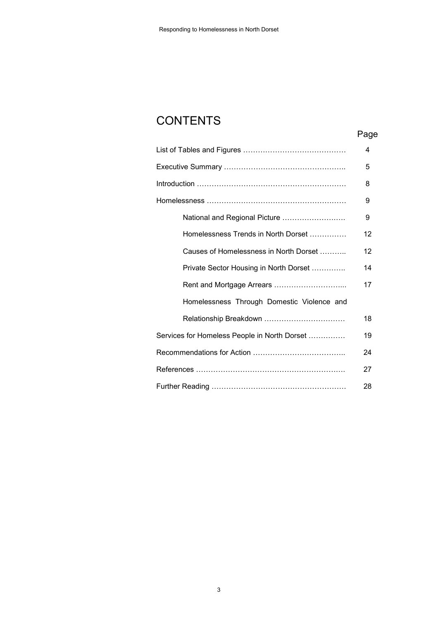## **CONTENTS**

### Page

|                                              | 4  |
|----------------------------------------------|----|
|                                              | 5  |
|                                              | 8  |
|                                              | 9  |
| National and Regional Picture                | 9  |
| Homelessness Trends in North Dorset          | 12 |
| Causes of Homelessness in North Dorset       | 12 |
| Private Sector Housing in North Dorset       | 14 |
| Rent and Mortgage Arrears                    | 17 |
| Homelessness Through Domestic Violence and   |    |
|                                              | 18 |
| Services for Homeless People in North Dorset | 19 |
|                                              | 24 |
|                                              | 27 |
|                                              | 28 |
|                                              |    |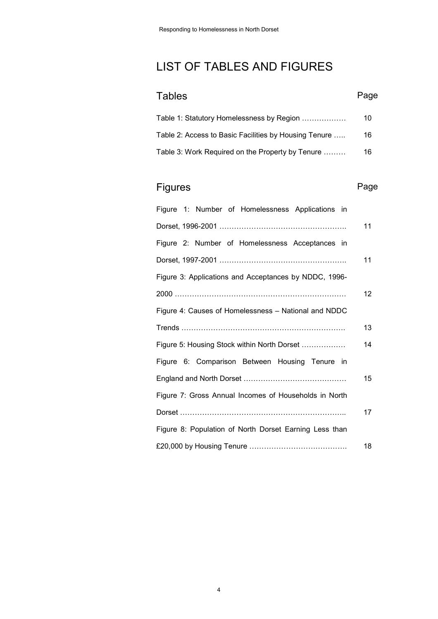## LIST OF TABLES AND FIGURES

| Tables                                                | Page |
|-------------------------------------------------------|------|
| Table 1: Statutory Homelessness by Region             | 10   |
| Table 2: Access to Basic Facilities by Housing Tenure | 16   |
| Table 3: Work Required on the Property by Tenure      | 16   |

## Figures **Page**

| Figure 1: Number of Homelessness Applications in       |    |
|--------------------------------------------------------|----|
|                                                        | 11 |
| Figure 2: Number of Homelessness Acceptances in        |    |
|                                                        | 11 |
| Figure 3: Applications and Acceptances by NDDC, 1996-  |    |
|                                                        | 12 |
| Figure 4: Causes of Homelessness - National and NDDC   |    |
|                                                        | 13 |
| Figure 5: Housing Stock within North Dorset            | 14 |
| Figure 6: Comparison Between Housing Tenure in         |    |
|                                                        | 15 |
| Figure 7: Gross Annual Incomes of Households in North  |    |
|                                                        | 17 |
| Figure 8: Population of North Dorset Earning Less than |    |
|                                                        | 18 |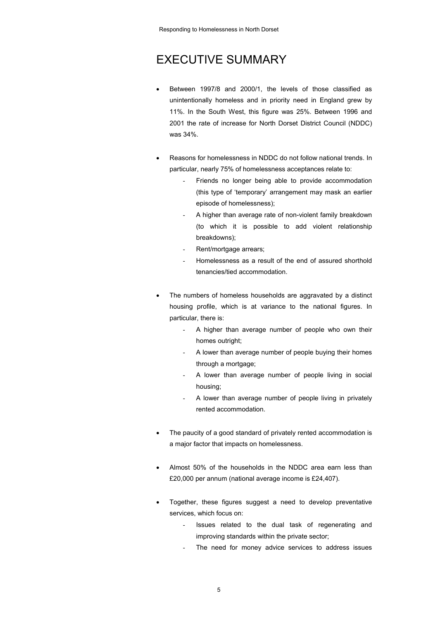## EXECUTIVE SUMMARY

- Between 1997/8 and 2000/1, the levels of those classified as unintentionally homeless and in priority need in England grew by 11%. In the South West, this figure was 25%. Between 1996 and 2001 the rate of increase for North Dorset District Council (NDDC) was 34%.
- Reasons for homelessness in NDDC do not follow national trends. In particular, nearly 75% of homelessness acceptances relate to:
	- Friends no longer being able to provide accommodation (this type of 'temporary' arrangement may mask an earlier episode of homelessness);
		- A higher than average rate of non-violent family breakdown (to which it is possible to add violent relationship breakdowns);
	- Rent/mortgage arrears;
	- Homelessness as a result of the end of assured shorthold tenancies/tied accommodation.
- The numbers of homeless households are aggravated by a distinct housing profile, which is at variance to the national figures. In particular, there is:
	- A higher than average number of people who own their homes outright;
	- A lower than average number of people buying their homes through a mortgage;
	- A lower than average number of people living in social housing;
	- A lower than average number of people living in privately rented accommodation.
- The paucity of a good standard of privately rented accommodation is a major factor that impacts on homelessness.
- Almost 50% of the households in the NDDC area earn less than £20,000 per annum (national average income is £24,407).
- Together, these figures suggest a need to develop preventative services, which focus on:
	- Issues related to the dual task of regenerating and improving standards within the private sector;
	- The need for money advice services to address issues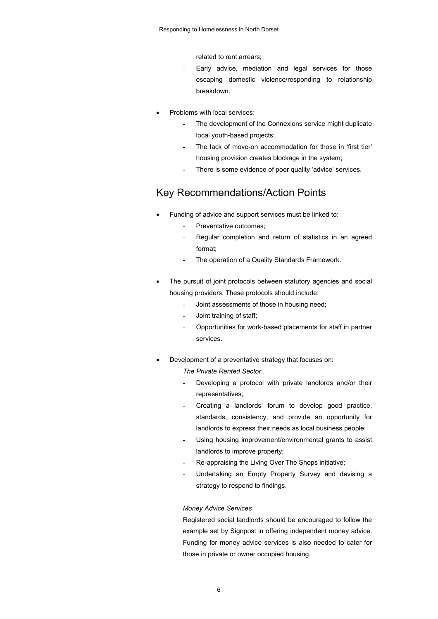related to rent arrears;

- Early advice, mediation and legal services for those escaping domestic violence/responding to relationship breakdown.
- Problems with local services:
	- The development of the Connexions service might duplicate local youth-based projects;
	- The lack of move-on accommodation for those in 'first tier' housing provision creates blockage in the system;
	- There is some evidence of poor quality 'advice' services.

### Key Recommendations/Action Points

- Funding of advice and support services must be linked to:
	- Preventative outcomes;
	- Regular completion and return of statistics in an agreed format;
	- The operation of a Quality Standards Framework.
- The pursuit of joint protocols between statutory agencies and social housing providers. These protocols should include:
	- Joint assessments of those in housing need;
	- Joint training of staff;
	- Opportunities for work-based placements for staff in partner services.
- Development of a preventative strategy that focuses on:
	- *The Private Rented Sector*
	- Developing a protocol with private landlords and/or their representatives;
	- Creating a landlords' forum to develop good practice, standards, consistency, and provide an opportunity for landlords to express their needs as local business people;
	- Using housing improvement/environmental grants to assist landlords to improve property;
	- Re-appraising the Living Over The Shops initiative;
	- Undertaking an Empty Property Survey and devising a strategy to respond to findings.

#### *Money Advice Services*

Registered social landlords should be encouraged to follow the example set by Signpost in offering independent money advice. Funding for money advice services is also needed to cater for those in private or owner occupied housing.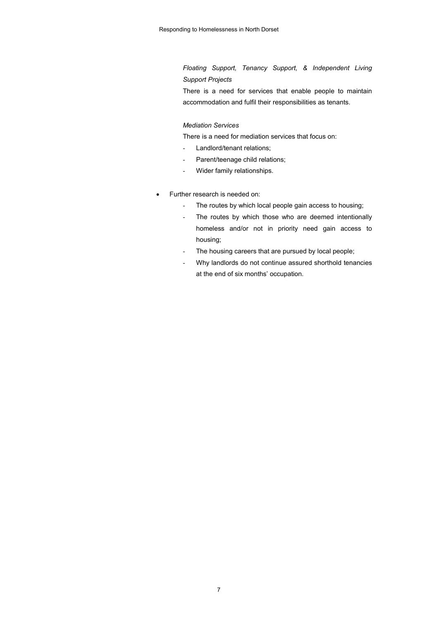*Floating Support, Tenancy Support, & Independent Living Support Projects*

There is a need for services that enable people to maintain accommodation and fulfil their responsibilities as tenants.

### *Mediation Services*

There is a need for mediation services that focus on:

- Landlord/tenant relations;
- Parent/teenage child relations;
- Wider family relationships.
- Further research is needed on:
	- The routes by which local people gain access to housing;
	- The routes by which those who are deemed intentionally homeless and/or not in priority need gain access to housing;
	- The housing careers that are pursued by local people;
	- Why landlords do not continue assured shorthold tenancies at the end of six months' occupation.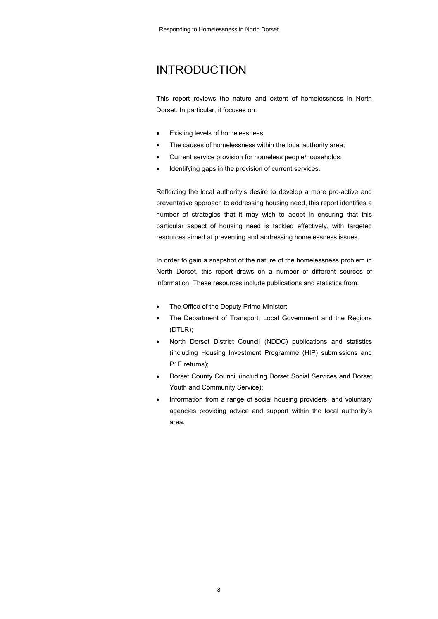## INTRODUCTION

This report reviews the nature and extent of homelessness in North Dorset. In particular, it focuses on:

- Existing levels of homelessness;
- The causes of homelessness within the local authority area;
- Current service provision for homeless people/households;
- Identifying gaps in the provision of current services.

Reflecting the local authority's desire to develop a more pro-active and preventative approach to addressing housing need, this report identifies a number of strategies that it may wish to adopt in ensuring that this particular aspect of housing need is tackled effectively, with targeted resources aimed at preventing and addressing homelessness issues.

In order to gain a snapshot of the nature of the homelessness problem in North Dorset, this report draws on a number of different sources of information. These resources include publications and statistics from:

- The Office of the Deputy Prime Minister;
- The Department of Transport, Local Government and the Regions (DTLR);
- North Dorset District Council (NDDC) publications and statistics (including Housing Investment Programme (HIP) submissions and P1E returns);
- Dorset County Council (including Dorset Social Services and Dorset Youth and Community Service);
- Information from a range of social housing providers, and voluntary agencies providing advice and support within the local authority's area.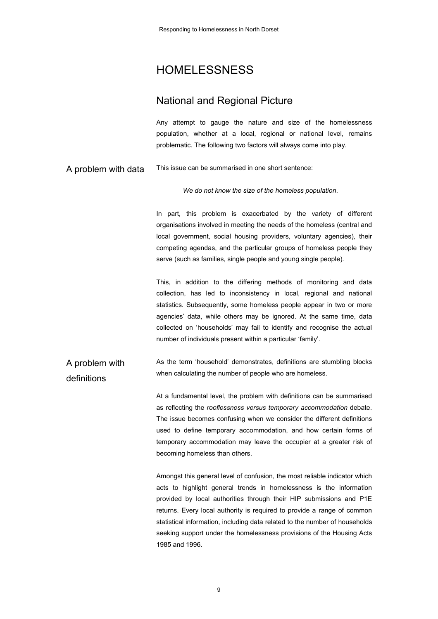## HOMELESSNESS

### National and Regional Picture

Any attempt to gauge the nature and size of the homelessness population, whether at a local, regional or national level, remains problematic. The following two factors will always come into play.

A problem with data This issue can be summarised in one short sentence:

*We do not know the size of the homeless population*.

In part, this problem is exacerbated by the variety of different organisations involved in meeting the needs of the homeless (central and local government, social housing providers, voluntary agencies), their competing agendas, and the particular groups of homeless people they serve (such as families, single people and young single people).

This, in addition to the differing methods of monitoring and data collection, has led to inconsistency in local, regional and national statistics. Subsequently, some homeless people appear in two or more agencies' data, while others may be ignored. At the same time, data collected on 'households' may fail to identify and recognise the actual number of individuals present within a particular 'family'.

A problem with definitions As the term 'household' demonstrates, definitions are stumbling blocks when calculating the number of people who are homeless.

> At a fundamental level, the problem with definitions can be summarised as reflecting the *rooflessness versus temporary accommodation* debate. The issue becomes confusing when we consider the different definitions used to define temporary accommodation, and how certain forms of temporary accommodation may leave the occupier at a greater risk of becoming homeless than others.

> Amongst this general level of confusion, the most reliable indicator which acts to highlight general trends in homelessness is the information provided by local authorities through their HIP submissions and P1E returns. Every local authority is required to provide a range of common statistical information, including data related to the number of households seeking support under the homelessness provisions of the Housing Acts 1985 and 1996.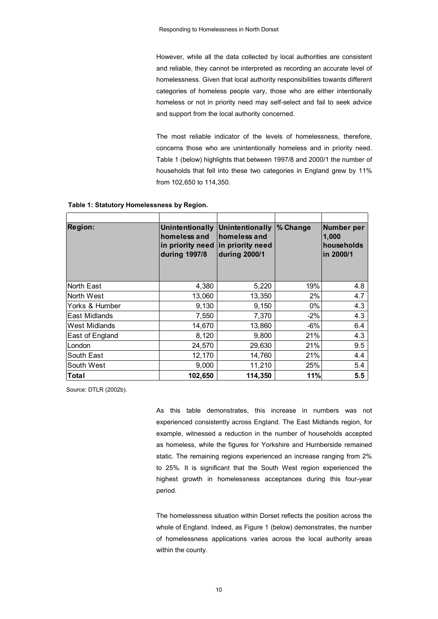However, while all the data collected by local authorities are consistent and reliable, they cannot be interpreted as recording an accurate level of homelessness. Given that local authority responsibilities towards different categories of homeless people vary, those who are either intentionally homeless or not in priority need may self-select and fail to seek advice and support from the local authority concerned.

The most reliable indicator of the levels of homelessness, therefore, concerns those who are unintentionally homeless and in priority need. Table 1 (below) highlights that between 1997/8 and 2000/1 the number of households that fell into these two categories in England grew by 11% from 102,650 to 114,350.

| <b>Region:</b>  | Unintentionally<br>homeless and<br>in priority need<br>during 1997/8 | Unintentionally<br>homeless and<br>in priority need<br>during 2000/1 | % Change | <b>Number per</b><br>1,000<br>households<br>in 2000/1 |
|-----------------|----------------------------------------------------------------------|----------------------------------------------------------------------|----------|-------------------------------------------------------|
| North East      | 4,380                                                                | 5,220                                                                | 19%      | 4.8                                                   |
| North West      | 13,060                                                               | 13,350                                                               | 2%       | 4.7                                                   |
| Yorks & Humber  | 9,130                                                                | 9,150                                                                | 0%       | 4.3                                                   |
| East Midlands   | 7,550                                                                | 7,370                                                                | $-2%$    | 4.3                                                   |
| West Midlands   | 14,670                                                               | 13,860                                                               | $-6%$    | 6.4                                                   |
| East of England | 8,120                                                                | 9,800                                                                | 21%      | 4.3                                                   |
| London          | 24,570                                                               | 29,630                                                               | 21%      | 9.5                                                   |
| South East      | 12,170                                                               | 14,760                                                               | 21%      | 4.4                                                   |
| South West      | 9,000                                                                | 11,210                                                               | 25%      | 5.4                                                   |
| Total           | 102,650                                                              | 114,350                                                              | 11%      | 5.5                                                   |

 **Table 1: Statutory Homelessness by Region.**

Source: DTLR (2002b).

As this table demonstrates, this increase in numbers was not experienced consistently across England. The East Midlands region, for example, witnessed a reduction in the number of households accepted as homeless, while the figures for Yorkshire and Humberside remained static. The remaining regions experienced an increase ranging from 2% to 25%. It is significant that the South West region experienced the highest growth in homelessness acceptances during this four-year period.

The homelessness situation within Dorset reflects the position across the whole of England. Indeed, as Figure 1 (below) demonstrates, the number of homelessness applications varies across the local authority areas within the county.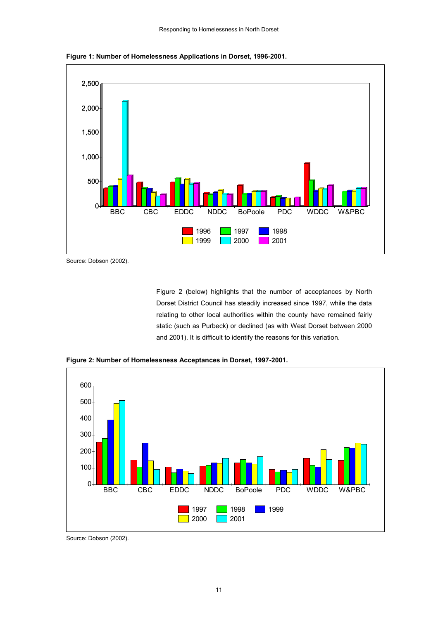

**Figure 1: Number of Homelessness Applications in Dorset, 1996-2001.**

Figure 2 (below) highlights that the number of acceptances by North Dorset District Council has steadily increased since 1997, while the data relating to other local authorities within the county have remained fairly static (such as Purbeck) or declined (as with West Dorset between 2000 and 2001). It is difficult to identify the reasons for this variation.



**Figure 2: Number of Homelessness Acceptances in Dorset, 1997-2001.**

Source: Dobson (2002).

Source: Dobson (2002).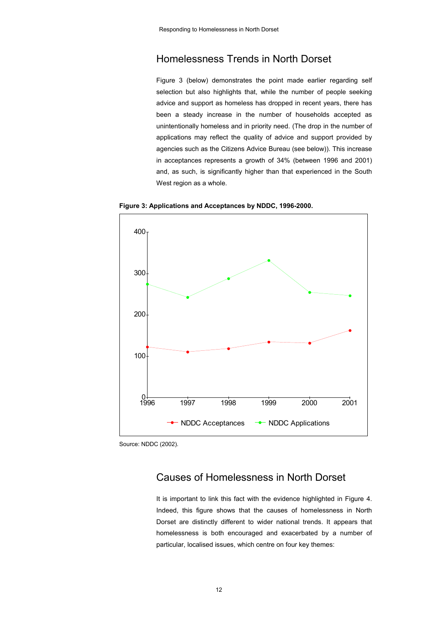### Homelessness Trends in North Dorset

Figure 3 (below) demonstrates the point made earlier regarding self selection but also highlights that, while the number of people seeking advice and support as homeless has dropped in recent years, there has been a steady increase in the number of households accepted as unintentionally homeless and in priority need. (The drop in the number of applications may reflect the quality of advice and support provided by agencies such as the Citizens Advice Bureau (see below)). This increase in acceptances represents a growth of 34% (between 1996 and 2001) and, as such, is significantly higher than that experienced in the South West region as a whole.



**Figure 3: Applications and Acceptances by NDDC, 1996-2000.**

Source: NDDC (2002).

### Causes of Homelessness in North Dorset

It is important to link this fact with the evidence highlighted in Figure 4. Indeed, this figure shows that the causes of homelessness in North Dorset are distinctly different to wider national trends. It appears that homelessness is both encouraged and exacerbated by a number of particular, localised issues, which centre on four key themes: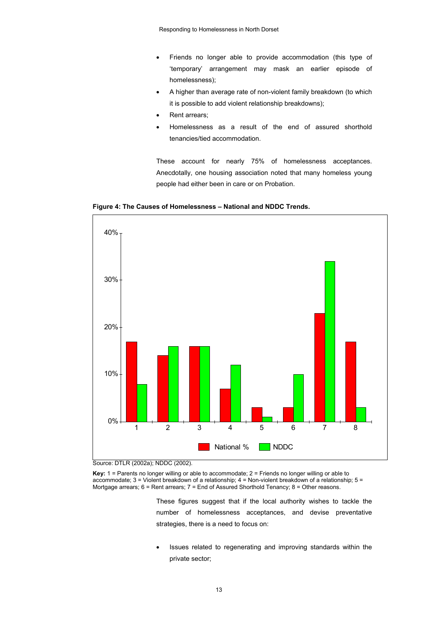- Friends no longer able to provide accommodation (this type of 'temporary' arrangement may mask an earlier episode of homelessness);
- A higher than average rate of non-violent family breakdown (to which it is possible to add violent relationship breakdowns);
- Rent arrears;
- Homelessness as a result of the end of assured shorthold tenancies/tied accommodation.

These account for nearly 75% of homelessness acceptances. Anecdotally, one housing association noted that many homeless young people had either been in care or on Probation.





Source: DTLR (2002a); NDDC (2002).

**Key:** 1 = Parents no longer willing or able to accommodate; 2 = Friends no longer willing or able to accommodate; 3 = Violent breakdown of a relationship; 4 = Non-violent breakdown of a relationship; 5 = Mortgage arrears; 6 = Rent arrears; 7 = End of Assured Shorthold Tenancy; 8 = Other reasons.

> These figures suggest that if the local authority wishes to tackle the number of homelessness acceptances, and devise preventative strategies, there is a need to focus on:

> Issues related to regenerating and improving standards within the private sector;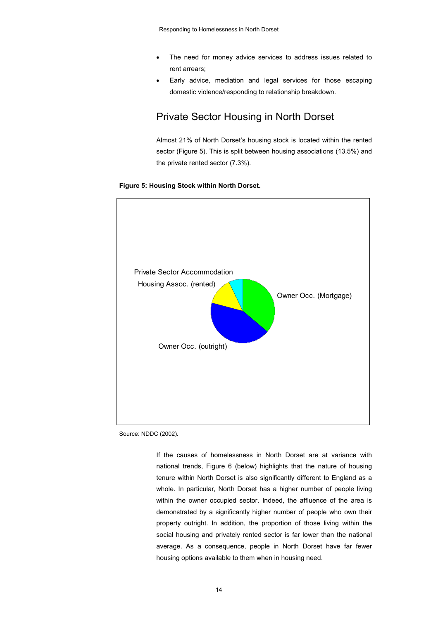- The need for money advice services to address issues related to rent arrears;
- Early advice, mediation and legal services for those escaping domestic violence/responding to relationship breakdown.

### Private Sector Housing in North Dorset

Almost 21% of North Dorset's housing stock is located within the rented sector (Figure 5). This is split between housing associations (13.5%) and the private rented sector (7.3%).

#### **Figure 5: Housing Stock within North Dorset.**



Source: NDDC (2002).

If the causes of homelessness in North Dorset are at variance with national trends, Figure 6 (below) highlights that the nature of housing tenure within North Dorset is also significantly different to England as a whole. In particular, North Dorset has a higher number of people living within the owner occupied sector. Indeed, the affluence of the area is demonstrated by a significantly higher number of people who own their property outright. In addition, the proportion of those living within the social housing and privately rented sector is far lower than the national average. As a consequence, people in North Dorset have far fewer housing options available to them when in housing need.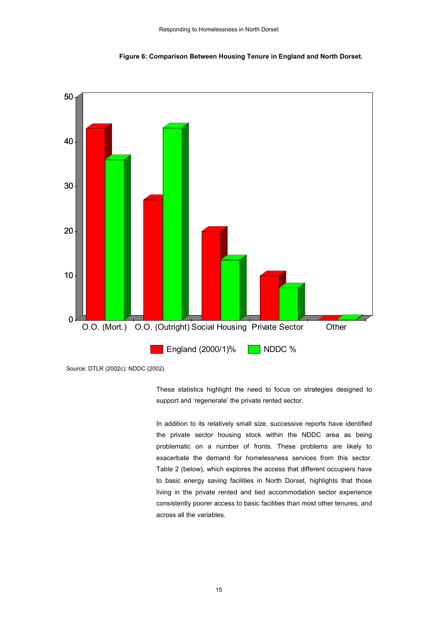

**Figure 6: Comparison Between Housing Tenure in England and North Dorset.**

These statistics highlight the need to focus on strategies designed to support and 'regenerate' the private rented sector.

In addition to its relatively small size, successive reports have identified the private sector housing stock within the NDDC area as being problematic on a number of fronts. These problems are likely to exacerbate the demand for homelessness services from this sector. Table 2 (below), which explores the access that different occupiers have to basic energy saving facilities in North Dorset, highlights that those living in the private rented and tied accommodation sector experience consistently poorer access to basic facilities than most other tenures, and across all the variables.

Source: DTLR (2002c); NDDC (2002).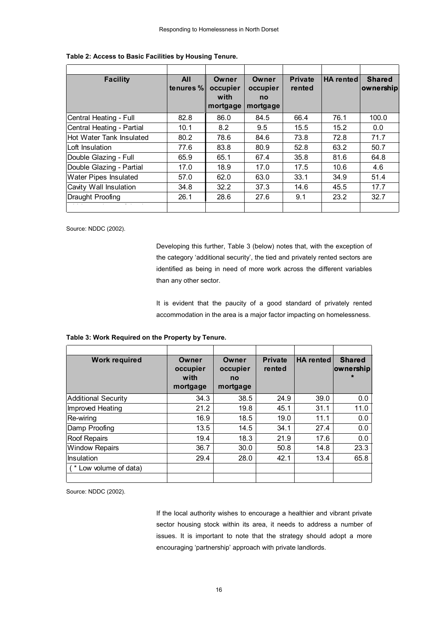| <b>Facility</b>           | <b>All</b><br>tenures % | Owner<br>occupier<br>with<br>mortgage | Owner<br>occupier<br>no<br>mortgage | <b>Private</b><br>rented | HA rented | <b>Shared</b><br>ownership |
|---------------------------|-------------------------|---------------------------------------|-------------------------------------|--------------------------|-----------|----------------------------|
| Central Heating - Full    | 82.8                    | 86.0                                  | 84.5                                | 66.4                     | 76.1      | 100.0                      |
| Central Heating - Partial | 10.1                    | 8.2                                   | 9.5                                 | 15.5                     | 15.2      | 0.0                        |
| Hot Water Tank Insulated  | 80.2                    | 78.6                                  | 84.6                                | 73.8                     | 72.8      | 71.7                       |
| Loft Insulation           | 77.6                    | 83.8                                  | 80.9                                | 52.8                     | 63.2      | 50.7                       |
| Double Glazing - Full     | 65.9                    | 65.1                                  | 67.4                                | 35.8                     | 81.6      | 64.8                       |
| Double Glazing - Partial  | 17.0                    | 18.9                                  | 17.0                                | 17.5                     | 10.6      | 4.6                        |
| Water Pipes Insulated     | 57.0                    | 62.0                                  | 63.0                                | 33.1                     | 34.9      | 51.4                       |
| Cavity Wall Insulation    | 34.8                    | 32.2                                  | 37.3                                | 14.6                     | 45.5      | 17.7                       |
| Draught Proofing          | 26.1                    | 28.6                                  | 27.6                                | 9.1                      | 23.2      | 32.7                       |
|                           |                         |                                       |                                     |                          |           |                            |

### **Table 2: Access to Basic Facilities by Housing Tenure.**

Source: NDDC (2002).

Developing this further, Table 3 (below) notes that, with the exception of the category 'additional security', the tied and privately rented sectors are identified as being in need of more work across the different variables than any other sector.

It is evident that the paucity of a good standard of privately rented accommodation in the area is a major factor impacting on homelessness.

| <b>Work required</b>  | Owner<br>occupier<br>with<br>mortgage | Owner<br>occupier<br>no<br>mortgage | <b>Private</b><br>rented | <b>HA</b> rented | <b>Shared</b><br>ownership |
|-----------------------|---------------------------------------|-------------------------------------|--------------------------|------------------|----------------------------|
| Additional Security   | 34.3                                  | 38.5                                | 24.9                     | 39.0             | 0.0                        |
| Improved Heating      | 21.2                                  | 19.8                                | 45.1                     | 31.1             | 11.0                       |
| Re-wiring             | 16.9                                  | 18.5                                | 19.0                     | 11.1             | 0.0                        |
| Damp Proofing         | 13.5                                  | 14.5                                | 34.1                     | 27.4             | 0.0                        |
| <b>Roof Repairs</b>   | 19.4                                  | 18.3                                | 21.9                     | 17.6             | 0.0                        |
| <b>Window Repairs</b> | 36.7                                  | 30.0                                | 50.8                     | 14.8             | 23.3                       |
| Insulation            | 29.4                                  | 28.0                                | 42.1                     | 13.4             | 65.8                       |
| (*Low volume of data) |                                       |                                     |                          |                  |                            |

Source: NDDC (2002).

If the local authority wishes to encourage a healthier and vibrant private sector housing stock within its area, it needs to address a number of issues. It is important to note that the strategy should adopt a more encouraging 'partnership' approach with private landlords.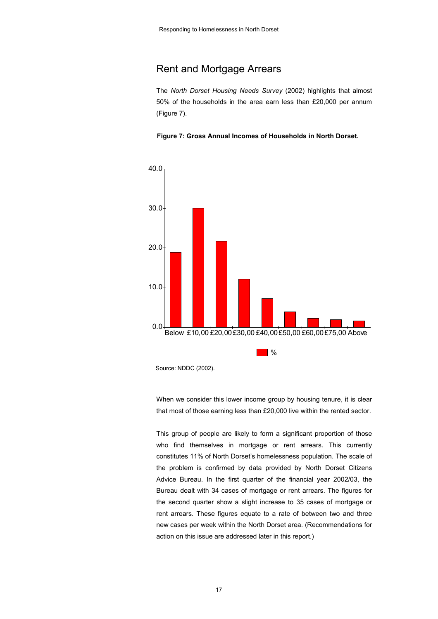### Rent and Mortgage Arrears

The *North Dorset Housing Needs Survey* (2002) highlights that almost 50% of the households in the area earn less than £20,000 per annum (Figure 7).





Source: NDDC (2002).

When we consider this lower income group by housing tenure, it is clear that most of those earning less than £20,000 live within the rented sector.

This group of people are likely to form a significant proportion of those who find themselves in mortgage or rent arrears. This currently constitutes 11% of North Dorset's homelessness population. The scale of the problem is confirmed by data provided by North Dorset Citizens Advice Bureau. In the first quarter of the financial year 2002/03, the Bureau dealt with 34 cases of mortgage or rent arrears. The figures for the second quarter show a slight increase to 35 cases of mortgage or rent arrears. These figures equate to a rate of between two and three new cases per week within the North Dorset area. (Recommendations for action on this issue are addressed later in this report.)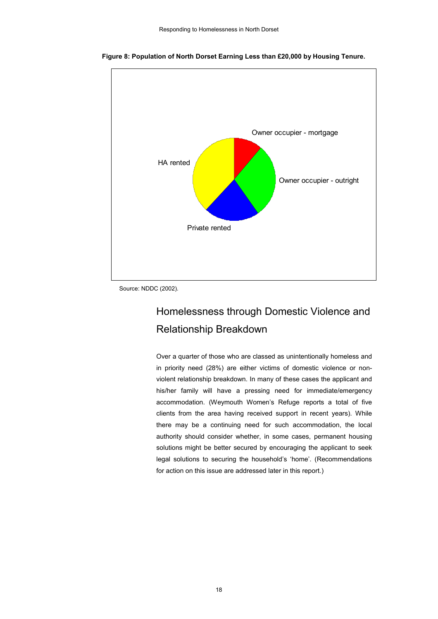

 **Figure 8: Population of North Dorset Earning Less than £20,000 by Housing Tenure.**

## Homelessness through Domestic Violence and Relationship Breakdown

Over a quarter of those who are classed as unintentionally homeless and in priority need (28%) are either victims of domestic violence or nonviolent relationship breakdown. In many of these cases the applicant and his/her family will have a pressing need for immediate/emergency accommodation. (Weymouth Women's Refuge reports a total of five clients from the area having received support in recent years). While there may be a continuing need for such accommodation, the local authority should consider whether, in some cases, permanent housing solutions might be better secured by encouraging the applicant to seek legal solutions to securing the household's 'home'. (Recommendations for action on this issue are addressed later in this report.)

Source: NDDC (2002).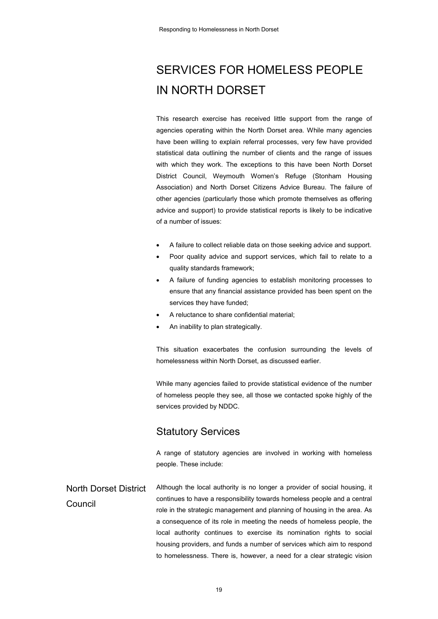# SERVICES FOR HOMELESS PEOPLE IN NORTH DORSET

This research exercise has received little support from the range of agencies operating within the North Dorset area. While many agencies have been willing to explain referral processes, very few have provided statistical data outlining the number of clients and the range of issues with which they work. The exceptions to this have been North Dorset District Council, Weymouth Women's Refuge (Stonham Housing Association) and North Dorset Citizens Advice Bureau. The failure of other agencies (particularly those which promote themselves as offering advice and support) to provide statistical reports is likely to be indicative of a number of issues:

- A failure to collect reliable data on those seeking advice and support.
- Poor quality advice and support services, which fail to relate to a quality standards framework;
- A failure of funding agencies to establish monitoring processes to ensure that any financial assistance provided has been spent on the services they have funded;
- A reluctance to share confidential material;
- An inability to plan strategically.

This situation exacerbates the confusion surrounding the levels of homelessness within North Dorset, as discussed earlier.

While many agencies failed to provide statistical evidence of the number of homeless people they see, all those we contacted spoke highly of the services provided by NDDC.

### Statutory Services

A range of statutory agencies are involved in working with homeless people. These include:

North Dorset District Council Although the local authority is no longer a provider of social housing, it continues to have a responsibility towards homeless people and a central role in the strategic management and planning of housing in the area. As a consequence of its role in meeting the needs of homeless people, the local authority continues to exercise its nomination rights to social housing providers, and funds a number of services which aim to respond to homelessness. There is, however, a need for a clear strategic vision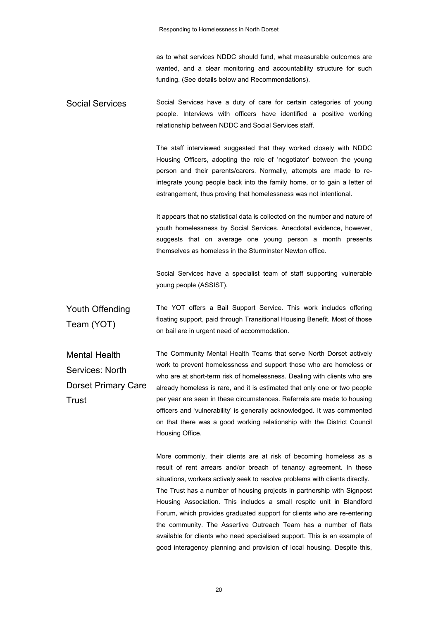as to what services NDDC should fund, what measurable outcomes are wanted, and a clear monitoring and accountability structure for such funding. (See details below and Recommendations).

Social Services Social Services have a duty of care for certain categories of young people. Interviews with officers have identified a positive working relationship between NDDC and Social Services staff.

> The staff interviewed suggested that they worked closely with NDDC Housing Officers, adopting the role of 'negotiator' between the young person and their parents/carers. Normally, attempts are made to reintegrate young people back into the family home, or to gain a letter of estrangement, thus proving that homelessness was not intentional.

> It appears that no statistical data is collected on the number and nature of youth homelessness by Social Services. Anecdotal evidence, however, suggests that on average one young person a month presents themselves as homeless in the Sturminster Newton office.

> Social Services have a specialist team of staff supporting vulnerable young people (ASSIST).

Youth Offending Team (YOT) The YOT offers a Bail Support Service. This work includes offering floating support, paid through Transitional Housing Benefit. Most of those on bail are in urgent need of accommodation.

Mental Health Services: North Dorset Primary Care **Trust** The Community Mental Health Teams that serve North Dorset actively work to prevent homelessness and support those who are homeless or who are at short-term risk of homelessness. Dealing with clients who are already homeless is rare, and it is estimated that only one or two people per year are seen in these circumstances. Referrals are made to housing officers and 'vulnerability' is generally acknowledged. It was commented on that there was a good working relationship with the District Council Housing Office.

> More commonly, their clients are at risk of becoming homeless as a result of rent arrears and/or breach of tenancy agreement. In these situations, workers actively seek to resolve problems with clients directly. The Trust has a number of housing projects in partnership with Signpost Housing Association. This includes a small respite unit in Blandford Forum, which provides graduated support for clients who are re-entering the community. The Assertive Outreach Team has a number of flats available for clients who need specialised support. This is an example of good interagency planning and provision of local housing. Despite this,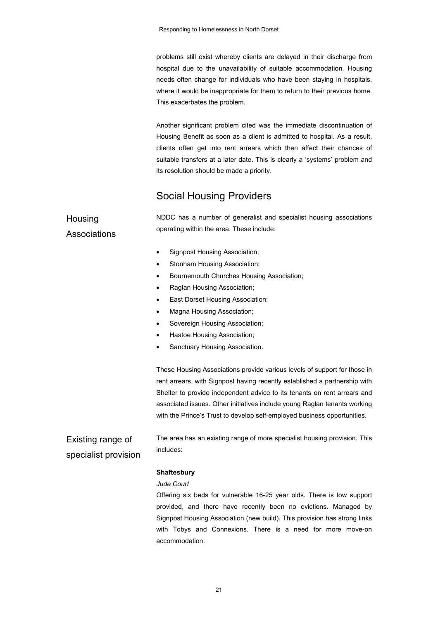problems still exist whereby clients are delayed in their discharge from hospital due to the unavailability of suitable accommodation. Housing needs often change for individuals who have been staying in hospitals, where it would be inappropriate for them to return to their previous home. This exacerbates the problem.

Another significant problem cited was the immediate discontinuation of Housing Benefit as soon as a client is admitted to hospital. As a result, clients often get into rent arrears which then affect their chances of suitable transfers at a later date. This is clearly a 'systems' problem and its resolution should be made a priority.

### Social Housing Providers

| Housing                                   | NDDC has a number of generalist and specialist housing associations                                                                                     |
|-------------------------------------------|---------------------------------------------------------------------------------------------------------------------------------------------------------|
| Associations                              | operating within the area. These include:                                                                                                               |
|                                           | Signpost Housing Association;<br>٠                                                                                                                      |
|                                           | Stonham Housing Association;<br>٠                                                                                                                       |
|                                           | Bournemouth Churches Housing Association;<br>٠                                                                                                          |
|                                           | Raglan Housing Association;                                                                                                                             |
|                                           | East Dorset Housing Association;<br>٠                                                                                                                   |
|                                           | Magna Housing Association;                                                                                                                              |
|                                           | Sovereign Housing Association;<br>٠                                                                                                                     |
|                                           | Hastoe Housing Association;                                                                                                                             |
|                                           | Sanctuary Housing Association.                                                                                                                          |
|                                           | These Housing Associations provide various levels of support for those in<br>rent arrears, with Signpost having recently established a partnership with |
|                                           | Shelter to provide independent advice to its tenants on rent arrears and                                                                                |
|                                           | associated issues. Other initiatives include young Raglan tenants working                                                                               |
|                                           | with the Prince's Trust to develop self-employed business opportunities.                                                                                |
| Existing range of<br>specialist provision | The area has an existing range of more specialist housing provision. This<br>includes:                                                                  |
|                                           | <b>Shaftesbury</b>                                                                                                                                      |

### *Jude Court*

Offering six beds for vulnerable 16-25 year olds. There is low support provided, and there have recently been no evictions. Managed by Signpost Housing Association (new build). This provision has strong links with Tobys and Connexions. There is a need for more move-on accommodation.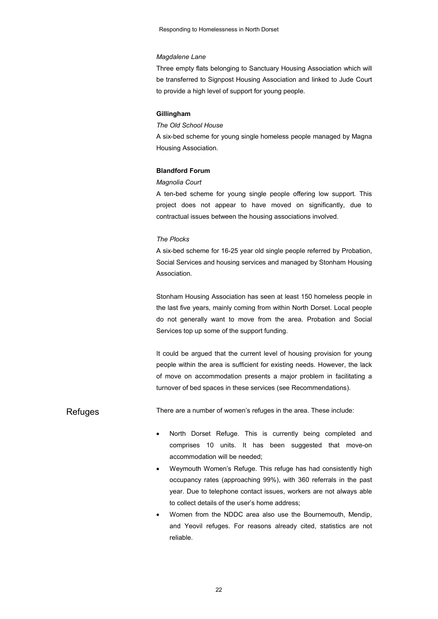#### *Magdalene Lane*

Three empty flats belonging to Sanctuary Housing Association which will be transferred to Signpost Housing Association and linked to Jude Court to provide a high level of support for young people.

#### **Gillingham**

#### *The Old School House*

A six-bed scheme for young single homeless people managed by Magna Housing Association.

#### **Blandford Forum**

#### *Magnolia Court*

A ten-bed scheme for young single people offering low support. This project does not appear to have moved on significantly, due to contractual issues between the housing associations involved.

#### *The Plocks*

A six-bed scheme for 16-25 year old single people referred by Probation, Social Services and housing services and managed by Stonham Housing Association.

Stonham Housing Association has seen at least 150 homeless people in the last five years, mainly coming from within North Dorset. Local people do not generally want to move from the area. Probation and Social Services top up some of the support funding.

It could be argued that the current level of housing provision for young people within the area is sufficient for existing needs. However, the lack of move on accommodation presents a major problem in facilitating a turnover of bed spaces in these services (see Recommendations).

Refuges There are a number of women's refuges in the area. These include:

- North Dorset Refuge. This is currently being completed and comprises 10 units. It has been suggested that move-on accommodation will be needed;
- Weymouth Women's Refuge. This refuge has had consistently high occupancy rates (approaching 99%), with 360 referrals in the past year. Due to telephone contact issues, workers are not always able to collect details of the user's home address;
- Women from the NDDC area also use the Bournemouth, Mendip, and Yeovil refuges. For reasons already cited, statistics are not reliable.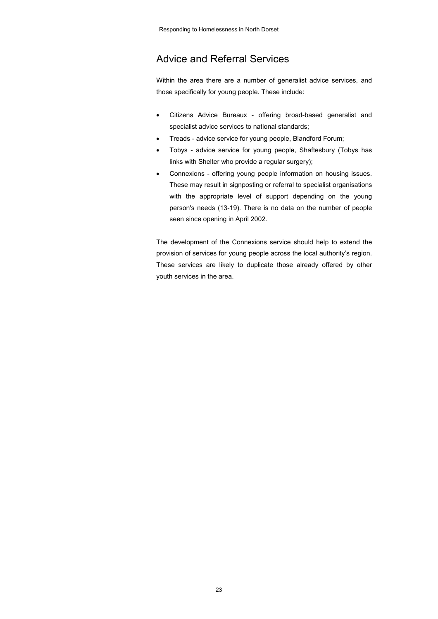### Advice and Referral Services

Within the area there are a number of generalist advice services, and those specifically for young people. These include:

- Citizens Advice Bureaux offering broad-based generalist and specialist advice services to national standards;
- Treads advice service for young people, Blandford Forum;
- Tobys advice service for young people, Shaftesbury (Tobys has links with Shelter who provide a regular surgery);
- Connexions offering young people information on housing issues. These may result in signposting or referral to specialist organisations with the appropriate level of support depending on the young person's needs (13-19). There is no data on the number of people seen since opening in April 2002.

The development of the Connexions service should help to extend the provision of services for young people across the local authority's region. These services are likely to duplicate those already offered by other youth services in the area.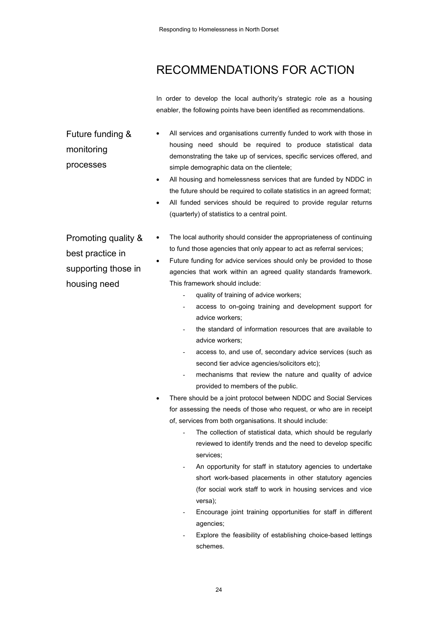## RECOMMENDATIONS FOR ACTION

In order to develop the local authority's strategic role as a housing enabler, the following points have been identified as recommendations.

Future funding & monitoring processes

- All services and organisations currently funded to work with those in housing need should be required to produce statistical data demonstrating the take up of services, specific services offered, and simple demographic data on the clientele;
- All housing and homelessness services that are funded by NDDC in the future should be required to collate statistics in an agreed format;
- All funded services should be required to provide regular returns (quarterly) of statistics to a central point.

Promoting quality & best practice in supporting those in housing need

- The local authority should consider the appropriateness of continuing to fund those agencies that only appear to act as referral services;
- Future funding for advice services should only be provided to those agencies that work within an agreed quality standards framework. This framework should include:
	- quality of training of advice workers;
	- access to on-going training and development support for advice workers;
	- the standard of information resources that are available to advice workers;
	- access to, and use of, secondary advice services (such as second tier advice agencies/solicitors etc);
	- mechanisms that review the nature and quality of advice provided to members of the public.
- There should be a joint protocol between NDDC and Social Services for assessing the needs of those who request, or who are in receipt of, services from both organisations. It should include:
	- The collection of statistical data, which should be regularly reviewed to identify trends and the need to develop specific services;
	- An opportunity for staff in statutory agencies to undertake short work-based placements in other statutory agencies (for social work staff to work in housing services and vice versa);
	- Encourage joint training opportunities for staff in different agencies;
	- Explore the feasibility of establishing choice-based lettings schemes.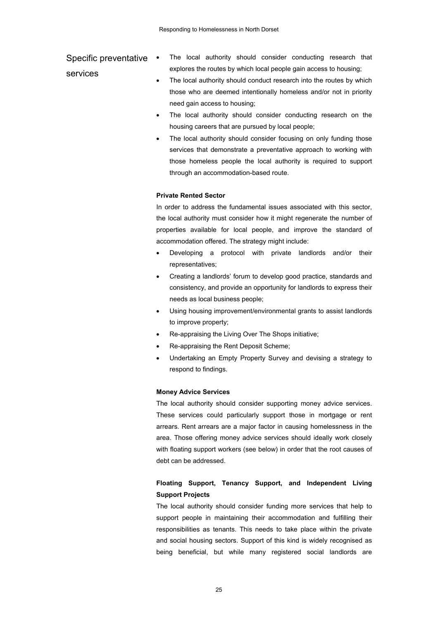### Specific preventative • services

- The local authority should consider conducting research that explores the routes by which local people gain access to housing;
- The local authority should conduct research into the routes by which those who are deemed intentionally homeless and/or not in priority need gain access to housing;
- The local authority should consider conducting research on the housing careers that are pursued by local people;
- The local authority should consider focusing on only funding those services that demonstrate a preventative approach to working with those homeless people the local authority is required to support through an accommodation-based route.

#### **Private Rented Sector**

In order to address the fundamental issues associated with this sector, the local authority must consider how it might regenerate the number of properties available for local people, and improve the standard of accommodation offered. The strategy might include:

- Developing a protocol with private landlords and/or their representatives;
- Creating a landlords' forum to develop good practice, standards and consistency, and provide an opportunity for landlords to express their needs as local business people;
- Using housing improvement/environmental grants to assist landlords to improve property;
- Re-appraising the Living Over The Shops initiative;
- Re-appraising the Rent Deposit Scheme;
- Undertaking an Empty Property Survey and devising a strategy to respond to findings.

#### **Money Advice Services**

The local authority should consider supporting money advice services. These services could particularly support those in mortgage or rent arrears. Rent arrears are a major factor in causing homelessness in the area. Those offering money advice services should ideally work closely with floating support workers (see below) in order that the root causes of debt can be addressed.

### **Floating Support, Tenancy Support, and Independent Living Support Projects**

The local authority should consider funding more services that help to support people in maintaining their accommodation and fulfilling their responsibilities as tenants. This needs to take place within the private and social housing sectors. Support of this kind is widely recognised as being beneficial, but while many registered social landlords are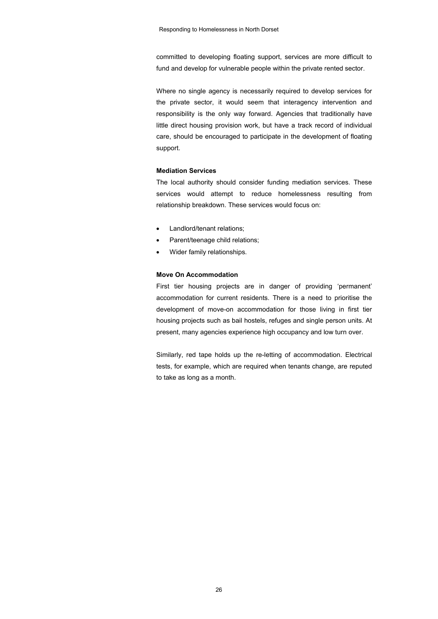committed to developing floating support, services are more difficult to fund and develop for vulnerable people within the private rented sector.

Where no single agency is necessarily required to develop services for the private sector, it would seem that interagency intervention and responsibility is the only way forward. Agencies that traditionally have little direct housing provision work, but have a track record of individual care, should be encouraged to participate in the development of floating support.

#### **Mediation Services**

The local authority should consider funding mediation services. These services would attempt to reduce homelessness resulting from relationship breakdown. These services would focus on:

- Landlord/tenant relations;
- Parent/teenage child relations;
- Wider family relationships.

### **Move On Accommodation**

First tier housing projects are in danger of providing 'permanent' accommodation for current residents. There is a need to prioritise the development of move-on accommodation for those living in first tier housing projects such as bail hostels, refuges and single person units. At present, many agencies experience high occupancy and low turn over.

Similarly, red tape holds up the re-letting of accommodation. Electrical tests, for example, which are required when tenants change, are reputed to take as long as a month.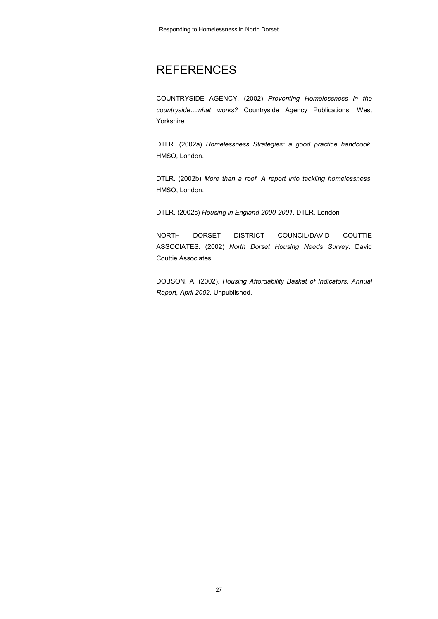## **REFERENCES**

COUNTRYSIDE AGENCY. (2002) *Preventing Homelessness in the countryside…what works?* Countryside Agency Publications, West Yorkshire.

DTLR. (2002a) *Homelessness Strategies: a good practice handbook*. HMSO, London.

DTLR. (2002b) *More than a roof. A report into tackling homelessness*. HMSO, London.

DTLR. (2002c) *Housing in England 2000-2001*. DTLR, London

NORTH DORSET DISTRICT COUNCIL/DAVID COUTTIE ASSOCIATES. (2002) *North Dorset Housing Needs Survey*. David Couttie Associates.

DOBSON, A. (2002). *Housing Affordability Basket of Indicators. Annual Report, April 2002*. Unpublished.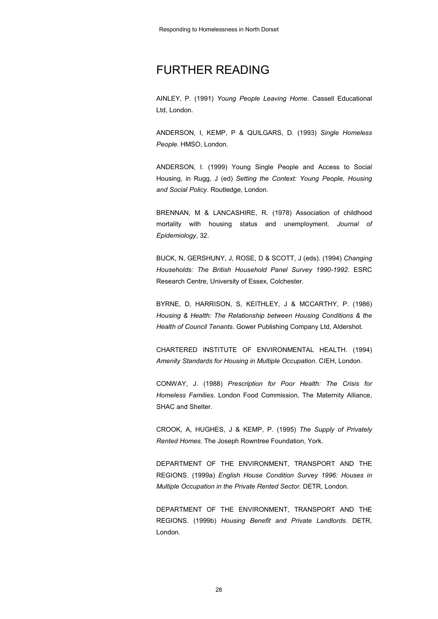## FURTHER READING

AINLEY, P. (1991) *Young People Leaving Home*. Cassell Educational Ltd, London.

ANDERSON, I, KEMP, P & QUILGARS, D. (1993) *Single Homeless People*. HMSO, London.

ANDERSON, I. (1999) Young Single People and Access to Social Housing, in Rugg, J (ed) *Setting the Context: Young People, Housing and Social Policy*. Routledge, London.

BRENNAN, M & LANCASHIRE, R. (1978) Association of childhood mortality with housing status and unemployment. *Journal of Epidemiology*, 32.

BUCK, N, GERSHUNY, J, ROSE, D & SCOTT, J (eds). (1994) *Changing Households: The British Household Panel Survey 1990-1992.* ESRC Research Centre, University of Essex, Colchester.

BYRNE, D, HARRISON, S, KEITHLEY, J & MCCARTHY, P. (1986) *Housing & Health: The Relationship between Housing Conditions & the Health of Council Tenants*. Gower Publishing Company Ltd, Aldershot.

CHARTERED INSTITUTE OF ENVIRONMENTAL HEALTH. (1994) *Amenity Standards for Housing in Multiple Occupation*. CIEH, London.

CONWAY, J. (1988) *Prescription for Poor Health: The Crisis for Homeless Families*. London Food Commission, The Maternity Alliance, SHAC and Shelter.

CROOK, A, HUGHES, J & KEMP, P. (1995) *The Supply of Privately Rented Homes.* The Joseph Rowntree Foundation, York.

DEPARTMENT OF THE ENVIRONMENT, TRANSPORT AND THE REGIONS. (1999a) *English House Condition Survey 1996: Houses in Multiple Occupation in the Private Rented Sector.* DETR, London.

DEPARTMENT OF THE ENVIRONMENT, TRANSPORT AND THE REGIONS. (1999b) *Housing Benefit and Private Landlords*. DETR, London.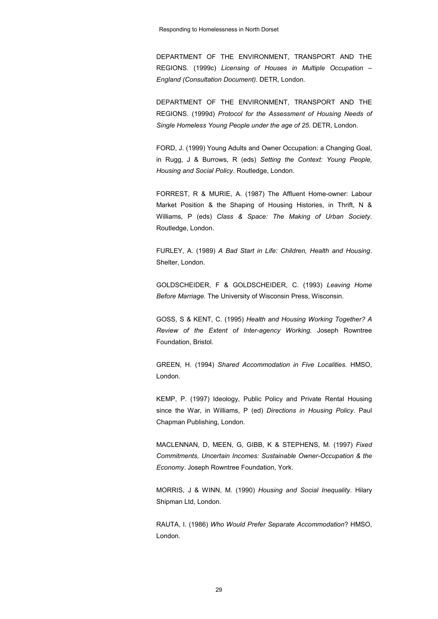DEPARTMENT OF THE ENVIRONMENT, TRANSPORT AND THE REGIONS. (1999c) *Licensing of Houses in Multiple Occupation – England (Consultation Document)*. DETR, London.

DEPARTMENT OF THE ENVIRONMENT, TRANSPORT AND THE REGIONS. (1999d) *Protocol for the Assessment of Housing Needs of Single Homeless Young People under the age of 25*. DETR, London.

FORD, J. (1999) Young Adults and Owner Occupation: a Changing Goal, in Rugg, J & Burrows, R (eds) *Setting the Context: Young People, Housing and Social Policy*. Routledge, London.

FORREST, R & MURIE, A. (1987) The Affluent Home-owner: Labour Market Position & the Shaping of Housing Histories, in Thrift, N & Williams, P (eds) *Class & Space: The Making of Urban Society*. Routledge, London.

FURLEY, A. (1989) *A Bad Start in Life: Children, Health and Housing*. Shelter, London.

GOLDSCHEIDER, F & GOLDSCHEIDER, C. (1993) *Leaving Home Before Marriage.* The University of Wisconsin Press, Wisconsin.

GOSS, S & KENT, C. (1995) *Health and Housing Working Together? A Review of the Extent of Inter-agency Working*. Joseph Rowntree Foundation, Bristol.

GREEN, H. (1994) *Shared Accommodation in Five Localities*. HMSO, London.

KEMP, P. (1997) Ideology, Public Policy and Private Rental Housing since the War, in Williams, P (ed) *Directions in Housing Policy*. Paul Chapman Publishing, London.

MACLENNAN, D, MEEN, G, GIBB, K & STEPHENS, M. (1997) *Fixed Commitments, Uncertain Incomes: Sustainable Owner-Occupation & the Economy*. Joseph Rowntree Foundation, York.

MORRIS, J & WINN, M. (1990) *Housing and Social Inequality*. Hilary Shipman Ltd, London.

RAUTA, I. (1986) *Who Would Prefer Separate Accommodation*? HMSO, London.